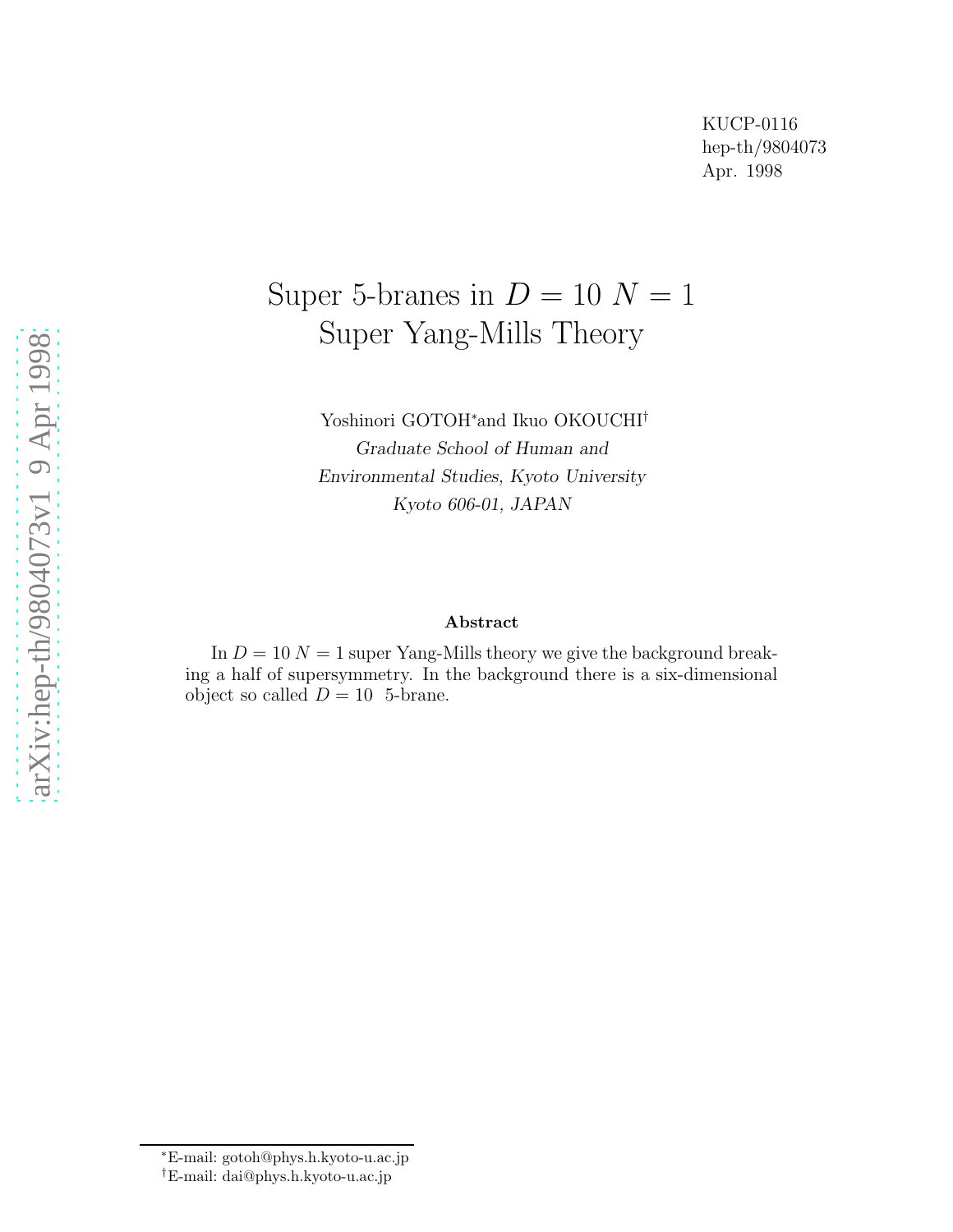# Super 5-branes in  $D = 10 N = 1$ Super Yang-Mills Theory

Yoshinori GOTOH<sup>\*</sup>and Ikuo OKOUCHI<sup>†</sup> Graduate School of Human and Environmental Studies, Kyoto University Kyoto 606-01, JAPAN

#### Abstract

In  $D = 10 N = 1$  super Yang-Mills theory we give the background breaking a half of supersymmetry. In the background there is a six-dimensional object so called  $D = 10$  5-brane.

<sup>∗</sup>E-mail: gotoh@phys.h.kyoto-u.ac.jp

<sup>†</sup>E-mail: dai@phys.h.kyoto-u.ac.jp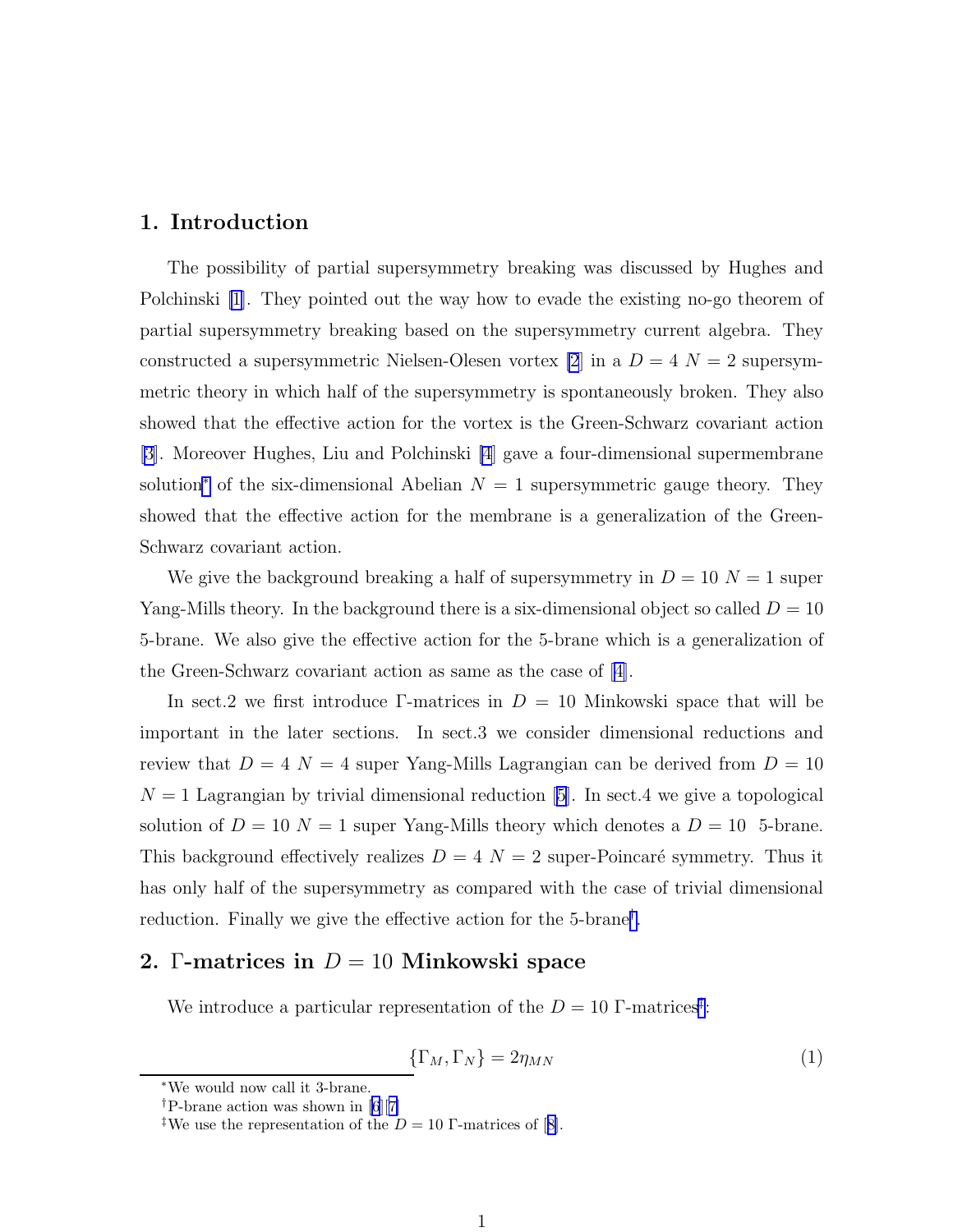#### 1. Introduction

The possibility of partial supersymmetry breaking was discussed by Hughes and Polchinski [\[1](#page-8-0)]. They pointed out the way how to evade the existing no-go theorem of partial supersymmetry breaking based on the supersymmetry current algebra. They constructed a supersymmetric Nielsen-Olesen vortex [\[2](#page-8-0)] in a  $D = 4$   $N = 2$  supersymmetric theory in which half of the supersymmetry is spontaneously broken. They also showed that the effective action for the vortex is the Green-Schwarz covariant action [\[3\]](#page-8-0). Moreover Hughes, Liu and Polchinski [\[4](#page-8-0)] gave a four-dimensional supermembrane solution<sup>∗</sup> of the six-dimensional Abelian  $N = 1$  supersymmetric gauge theory. They showed that the effective action for the membrane is a generalization of the Green-Schwarz covariant action.

We give the background breaking a half of supersymmetry in  $D = 10 N = 1$  super Yang-Mills theory. In the background there is a six-dimensional object so called  $D = 10$ 5-brane. We also give the effective action for the 5-brane which is a generalization of the Green-Schwarz covariant action as same as the case of[[4\]](#page-8-0).

In sect.2 we first introduce Γ-matrices in  $D = 10$  Minkowski space that will be important in the later sections. In sect.3 we consider dimensional reductions and review that  $D = 4$  N = 4 super Yang-Mills Lagrangian can be derived from  $D = 10$  $N = 1$  $N = 1$  $N = 1$  Lagrangian by trivial dimensional reduction [[5\]](#page-8-0). In sect.4 we give a topological solution of  $D = 10$   $N = 1$  super Yang-Mills theory which denotes a  $D = 10$  5-brane. This background effectively realizes  $D = 4$   $N = 2$  super-Poincaré symmetry. Thus it has only half of the supersymmetry as compared with the case of trivial dimensional reduction. Finally we give the effective action for the 5-brane† .

### 2. Γ-matrices in  $D = 10$  Minkowski space

We introduce a particular representation of the  $D = 10$   $\Gamma$ -matrices<sup>†</sup>:

$$
\{\Gamma_M, \Gamma_N\} = 2\eta_{MN} \tag{1}
$$

<sup>∗</sup>We would now call it 3-brane.

<sup>†</sup>P-brane action was shown in [\[6](#page-8-0)][[7\]](#page-8-0)

<sup>&</sup>lt;sup>‡</sup>Weuse the representation of the  $D = 10$  Γ-matrices of [[8\]](#page-8-0).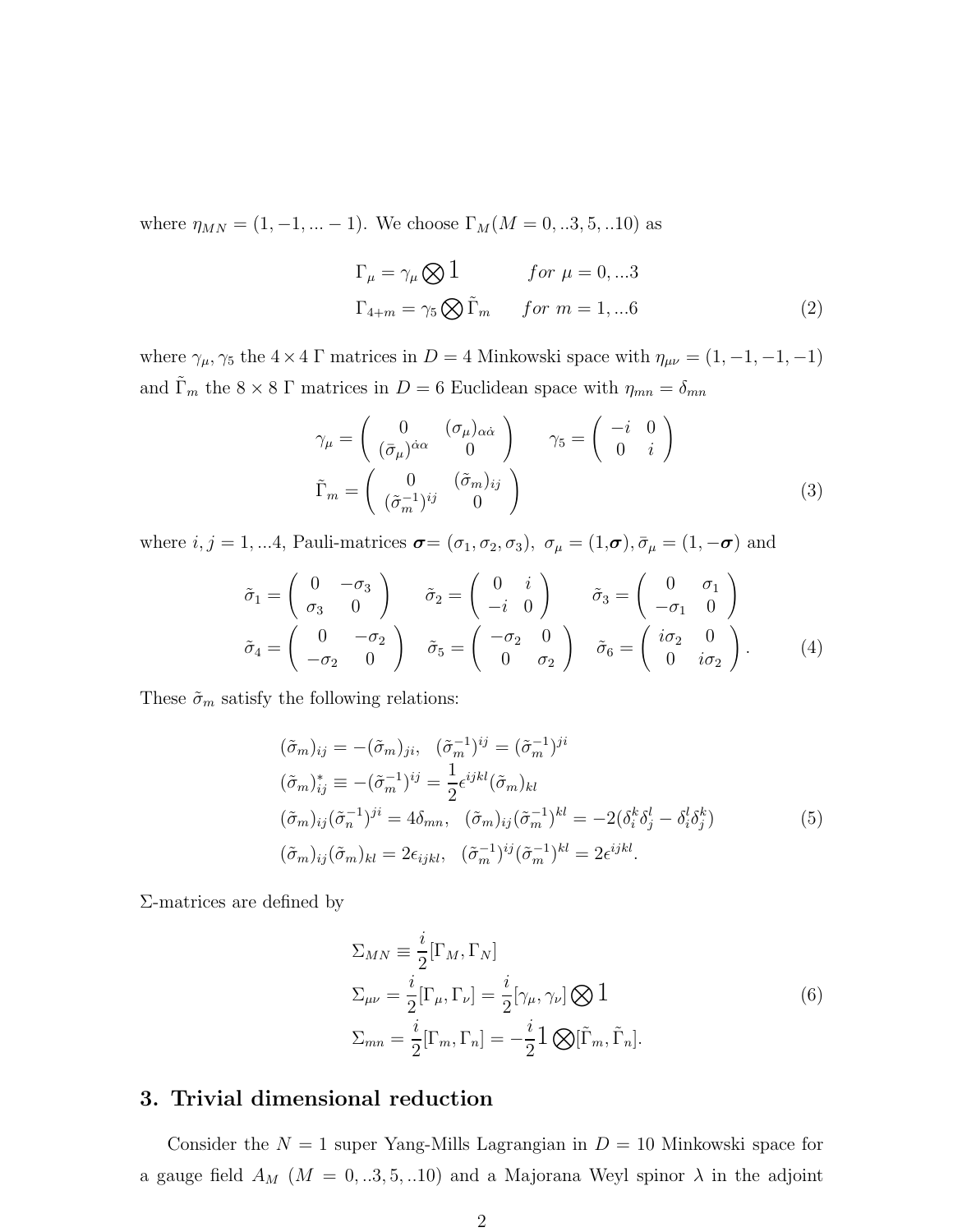<span id="page-2-0"></span>where  $\eta_{MN} = (1, -1, \dots -1)$ . We choose  $\Gamma_M(M = 0, .3, 5, .10)$  as

$$
\Gamma_{\mu} = \gamma_{\mu} \bigotimes 1 \qquad \text{for } \mu = 0, \dots 3
$$
  
\n
$$
\Gamma_{4+m} = \gamma_5 \bigotimes \tilde{\Gamma}_m \qquad \text{for } m = 1, \dots 6
$$
 (2)

where  $\gamma_{\mu}$ ,  $\gamma_5$  the  $4 \times 4$  Γ matrices in  $D = 4$  Minkowski space with  $\eta_{\mu\nu} = (1, -1, -1, -1)$ and  $\tilde{\Gamma}_m$  the  $8 \times 8$   $\Gamma$  matrices in  $D = 6$  Euclidean space with  $\eta_{mn} = \delta_{mn}$ 

$$
\gamma_{\mu} = \begin{pmatrix} 0 & (\sigma_{\mu})_{\alpha\dot{\alpha}} \\ (\bar{\sigma}_{\mu})^{\dot{\alpha}\alpha} & 0 \end{pmatrix} \qquad \gamma_{5} = \begin{pmatrix} -i & 0 \\ 0 & i \end{pmatrix}
$$

$$
\tilde{\Gamma}_{m} = \begin{pmatrix} 0 & (\tilde{\sigma}_{m})_{ij} \\ (\tilde{\sigma}_{m}^{-1})^{ij} & 0 \end{pmatrix}
$$
(3)

where  $i, j = 1, ...4$ , Pauli-matrices  $\boldsymbol{\sigma} = (\sigma_1, \sigma_2, \sigma_3)$ ,  $\sigma_{\mu} = (1, \boldsymbol{\sigma}), \bar{\sigma}_{\mu} = (1, -\boldsymbol{\sigma})$  and

$$
\tilde{\sigma}_1 = \begin{pmatrix} 0 & -\sigma_3 \\ \sigma_3 & 0 \end{pmatrix} \qquad \tilde{\sigma}_2 = \begin{pmatrix} 0 & i \\ -i & 0 \end{pmatrix} \qquad \tilde{\sigma}_3 = \begin{pmatrix} 0 & \sigma_1 \\ -\sigma_1 & 0 \end{pmatrix}
$$

$$
\tilde{\sigma}_4 = \begin{pmatrix} 0 & -\sigma_2 \\ -\sigma_2 & 0 \end{pmatrix} \qquad \tilde{\sigma}_5 = \begin{pmatrix} -\sigma_2 & 0 \\ 0 & \sigma_2 \end{pmatrix} \qquad \tilde{\sigma}_6 = \begin{pmatrix} i\sigma_2 & 0 \\ 0 & i\sigma_2 \end{pmatrix} . \tag{4}
$$

These  $\tilde{\sigma}_m$  satisfy the following relations:

$$
(\tilde{\sigma}_m)_{ij} = -(\tilde{\sigma}_m)_{ji}, \quad (\tilde{\sigma}_m^{-1})^{ij} = (\tilde{\sigma}_m^{-1})^{ji}
$$
  
\n
$$
(\tilde{\sigma}_m)_{ij}^* \equiv -(\tilde{\sigma}_m^{-1})^{ij} = \frac{1}{2} \epsilon^{ijkl} (\tilde{\sigma}_m)_{kl}
$$
  
\n
$$
(\tilde{\sigma}_m)_{ij} (\tilde{\sigma}_n^{-1})^{ji} = 4\delta_{mn}, \quad (\tilde{\sigma}_m)_{ij} (\tilde{\sigma}_m^{-1})^{kl} = -2(\delta_i^k \delta_j^l - \delta_i^l \delta_j^k)
$$
  
\n
$$
(\tilde{\sigma}_m)_{ij} (\tilde{\sigma}_m)_{kl} = 2\epsilon_{ijkl}, \quad (\tilde{\sigma}_m^{-1})^{ij} (\tilde{\sigma}_m^{-1})^{kl} = 2\epsilon^{ijkl}.
$$
\n(5)

Σ-matrices are defined by

$$
\Sigma_{MN} \equiv \frac{i}{2} [\Gamma_M, \Gamma_N]
$$
  
\n
$$
\Sigma_{\mu\nu} = \frac{i}{2} [\Gamma_\mu, \Gamma_\nu] = \frac{i}{2} [\gamma_\mu, \gamma_\nu] \bigotimes 1
$$
  
\n
$$
\Sigma_{mn} = \frac{i}{2} [\Gamma_m, \Gamma_n] = -\frac{i}{2} \mathbb{1} \bigotimes [\tilde{\Gamma}_m, \tilde{\Gamma}_n].
$$
\n(6)

## 3. Trivial dimensional reduction

Consider the  $N = 1$  super Yang-Mills Lagrangian in  $D = 10$  Minkowski space for a gauge field  $A_M$  ( $M = 0,..3,5,..10$ ) and a Majorana Weyl spinor  $\lambda$  in the adjoint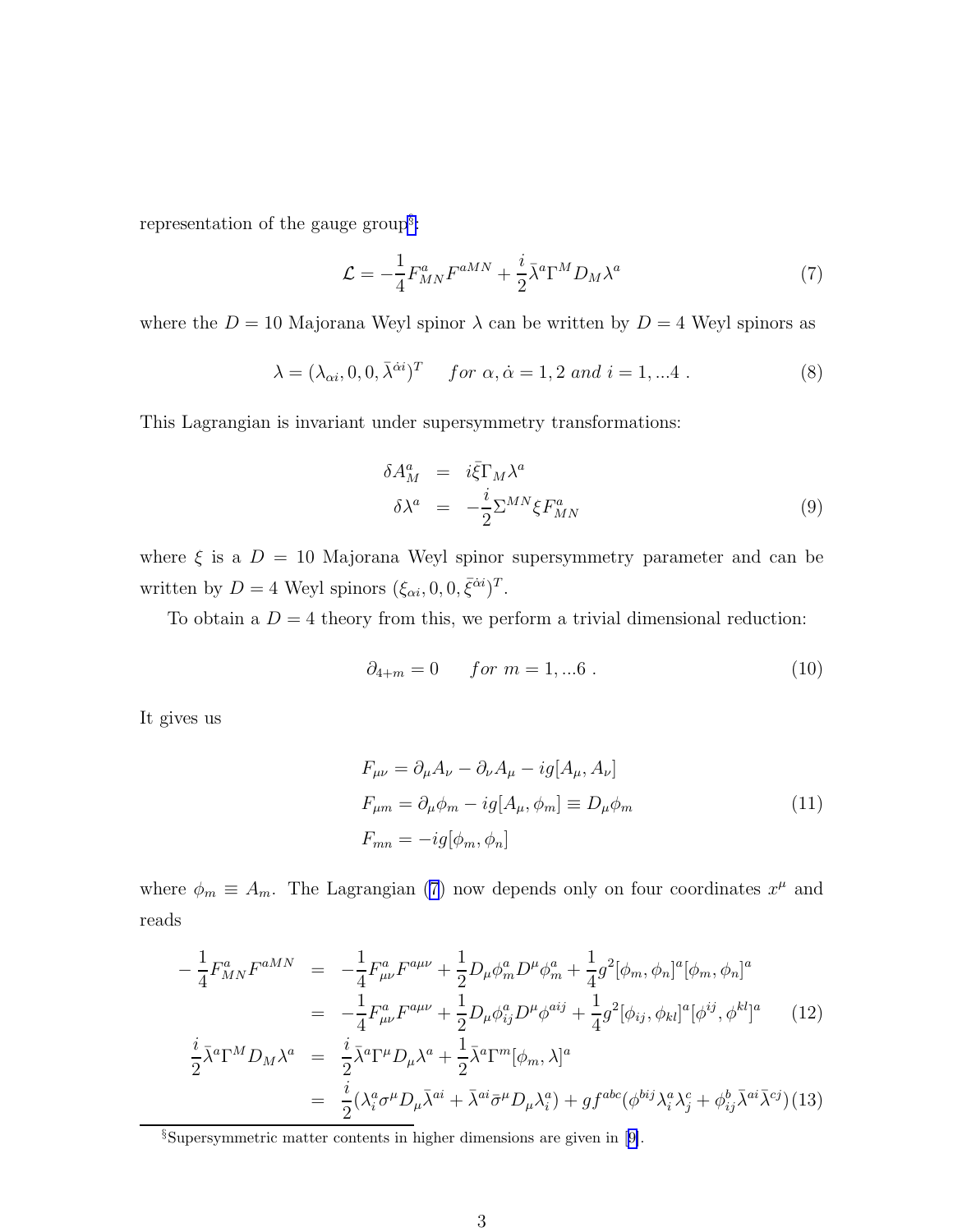<span id="page-3-0"></span>representation of the gauge group<sup>§</sup>:

$$
\mathcal{L} = -\frac{1}{4} F_{MN}^a F^{aMN} + \frac{i}{2} \bar{\lambda}^a \Gamma^M D_M \lambda^a \tag{7}
$$

where the  $D = 10$  Majorana Weyl spinor  $\lambda$  can be written by  $D = 4$  Weyl spinors as

$$
\lambda = (\lambda_{\alpha i}, 0, 0, \bar{\lambda}^{\dot{\alpha} i})^T \quad \text{for } \alpha, \dot{\alpha} = 1, 2 \text{ and } i = 1, \dots 4 \tag{8}
$$

This Lagrangian is invariant under supersymmetry transformations:

$$
\delta A_M^a = i \bar{\xi} \Gamma_M \lambda^a
$$
  

$$
\delta \lambda^a = -\frac{i}{2} \Sigma^{MN} \xi F_{MN}^a
$$
 (9)

where  $\xi$  is a  $D = 10$  Majorana Weyl spinor supersymmetry parameter and can be written by  $D = 4$  Weyl spinors  $(\xi_{\alpha i}, 0, 0, \bar{\xi}^{\dot{\alpha} i})^T$ .

To obtain a  $D = 4$  theory from this, we perform a trivial dimensional reduction:

$$
\partial_{4+m} = 0 \qquad \text{for } m = 1, \dots 6 \tag{10}
$$

It gives us

$$
F_{\mu\nu} = \partial_{\mu}A_{\nu} - \partial_{\nu}A_{\mu} - ig[A_{\mu}, A_{\nu}]
$$
  
\n
$$
F_{\mu m} = \partial_{\mu}\phi_m - ig[A_{\mu}, \phi_m] \equiv D_{\mu}\phi_m
$$
  
\n
$$
F_{mn} = -ig[\phi_m, \phi_n]
$$
\n(11)

where  $\phi_m \equiv A_m$ . The Lagrangian (7) now depends only on four coordinates  $x^{\mu}$  and reads

$$
-\frac{1}{4}F_{MN}^{a}F^{aMN} = -\frac{1}{4}F_{\mu\nu}^{a}F^{a\mu\nu} + \frac{1}{2}D_{\mu}\phi_{m}^{a}D^{\mu}\phi_{m}^{a} + \frac{1}{4}g^{2}[\phi_{m}, \phi_{n}]^{a}[\phi_{m}, \phi_{n}]^{a}
$$
  
\n
$$
= -\frac{1}{4}F_{\mu\nu}^{a}F^{a\mu\nu} + \frac{1}{2}D_{\mu}\phi_{ij}^{a}D^{\mu}\phi^{ai} + \frac{1}{4}g^{2}[\phi_{ij}, \phi_{kl}]^{a}[\phi^{ij}, \phi^{kl}]^{a}
$$
  
\n
$$
\frac{i}{2}\bar{\lambda}^{a}\Gamma^{M}D_{M}\lambda^{a} = \frac{i}{2}\bar{\lambda}^{a}\Gamma^{\mu}D_{\mu}\lambda^{a} + \frac{1}{2}\bar{\lambda}^{a}\Gamma^{m}[\phi_{m}, \lambda]^{a}
$$
  
\n
$$
= \frac{i}{2}(\lambda_{i}^{a}\sigma^{\mu}D_{\mu}\bar{\lambda}^{ai} + \bar{\lambda}^{ai}\bar{\sigma}^{\mu}D_{\mu}\lambda_{i}^{a}) + gf^{abc}(\phi^{bij}\lambda_{i}^{a}\lambda_{j}^{c} + \phi_{ij}^{b}\bar{\lambda}^{ai}\bar{\lambda}^{cj})
$$
(13)

<sup>§</sup>Supersymmetric matter contents in higher dimensions are given in[[9\]](#page-8-0).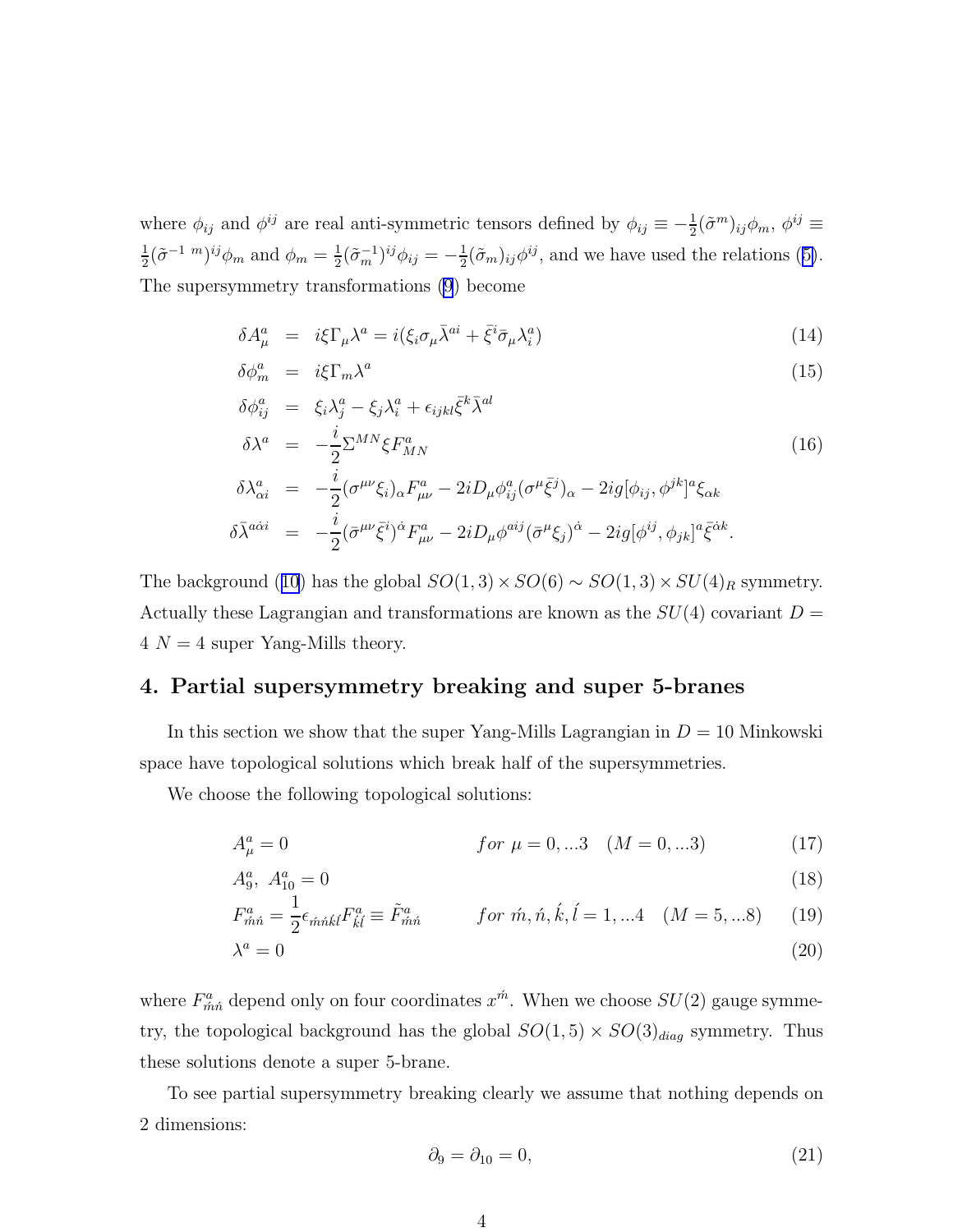<span id="page-4-0"></span>where  $\phi_{ij}$  and  $\phi^{ij}$  are real anti-symmetric tensors defined by  $\phi_{ij} \equiv -\frac{1}{2} (\tilde{\sigma}^m)_{ij} \phi_m$ ,  $\phi^{ij} \equiv$ 1  $\frac{1}{2}(\tilde{\sigma}^{-1}{}^{m})^{ij}\phi_{m}$  and  $\phi_{m}=\frac{1}{2}$  $\frac{1}{2}(\tilde{\sigma}_{m}^{-1})^{ij}\phi_{ij} = -\frac{1}{2}$  $\frac{1}{2}(\tilde{\sigma}_m)_{ij}\phi^{ij}$ ,and we have used the relations ([5\)](#page-2-0). The supersymmetry transformations [\(9](#page-3-0)) become

$$
\delta A^a_\mu = i\xi \Gamma_\mu \lambda^a = i(\xi_i \sigma_\mu \bar{\lambda}^{ai} + \bar{\xi}^i \bar{\sigma}_\mu \lambda^a_i)
$$
\n(14)

$$
\delta \phi_m^a = i\xi \Gamma_m \lambda^a \tag{15}
$$

$$
\delta\phi_{ij}^{a} = \xi_{i}\lambda_{j}^{a} - \xi_{j}\lambda_{i}^{a} + \epsilon_{ijkl}\bar{\xi}^{k}\bar{\lambda}^{al}
$$
\n
$$
\delta\lambda^{a} = -\frac{i}{2}\Sigma^{MN}\xi F_{MN}^{a}
$$
\n
$$
\delta\lambda_{\alpha i}^{a} = -\frac{i}{2}(\sigma^{\mu\nu}\xi_{i})_{\alpha}F_{\mu\nu}^{a} - 2iD_{\mu}\phi_{ij}^{a}(\sigma^{\mu}\bar{\xi}^{j})_{\alpha} - 2ig[\phi_{ij},\phi^{jk}]^{a}\xi_{\alpha k}
$$
\n
$$
\delta\bar{\lambda}^{a\dot{\alpha}i} = -\frac{i}{2}(\bar{\sigma}^{\mu\nu}\bar{\xi}^{i})^{\dot{\alpha}}F_{\mu\nu}^{a} - 2iD_{\mu}\phi^{aij}(\bar{\sigma}^{\mu}\xi_{j})^{\dot{\alpha}} - 2ig[\phi^{ij},\phi_{jk}]^{a}\bar{\xi}^{\dot{\alpha}k}.
$$
\n(16)

Thebackground ([10](#page-3-0)) has the global  $SO(1,3) \times SO(6) \sim SO(1,3) \times SU(4)_R$  symmetry. Actually these Lagrangian and transformations are known as the  $SU(4)$  covariant  $D =$  $4 N = 4$  super Yang-Mills theory.

## 4. Partial supersymmetry breaking and super 5-branes

In this section we show that the super Yang-Mills Lagrangian in  $D = 10$  Minkowski space have topological solutions which break half of the supersymmetries.

We choose the following topological solutions:

2

$$
A_{\mu}^{a} = 0 \qquad f \text{or } \mu = 0, \dots 3 \quad (M = 0, \dots 3) \tag{17}
$$

$$
A_9^a, A_{10}^a = 0 \tag{18}
$$

$$
F_{\hat{m}\hat{n}}^a = \frac{1}{2} \epsilon_{\hat{m}\hat{n}\hat{k}i} F_{\hat{k}i}^a \equiv \tilde{F}_{\hat{m}\hat{n}}^a \qquad \text{for } \hat{m}, \hat{n}, \hat{k}, i = 1, \dots 4 \quad (M = 5, \dots 8) \tag{19}
$$

$$
\lambda^a = 0 \tag{20}
$$

where  $F_{\hat{m}\hat{n}}^a$  depend only on four coordinates  $x^{\hat{m}}$ . When we choose  $SU(2)$  gauge symmetry, the topological background has the global  $SO(1,5) \times SO(3)_{diag}$  symmetry. Thus these solutions denote a super 5-brane.

To see partial supersymmetry breaking clearly we assume that nothing depends on 2 dimensions:

$$
\partial_9 = \partial_{10} = 0,\tag{21}
$$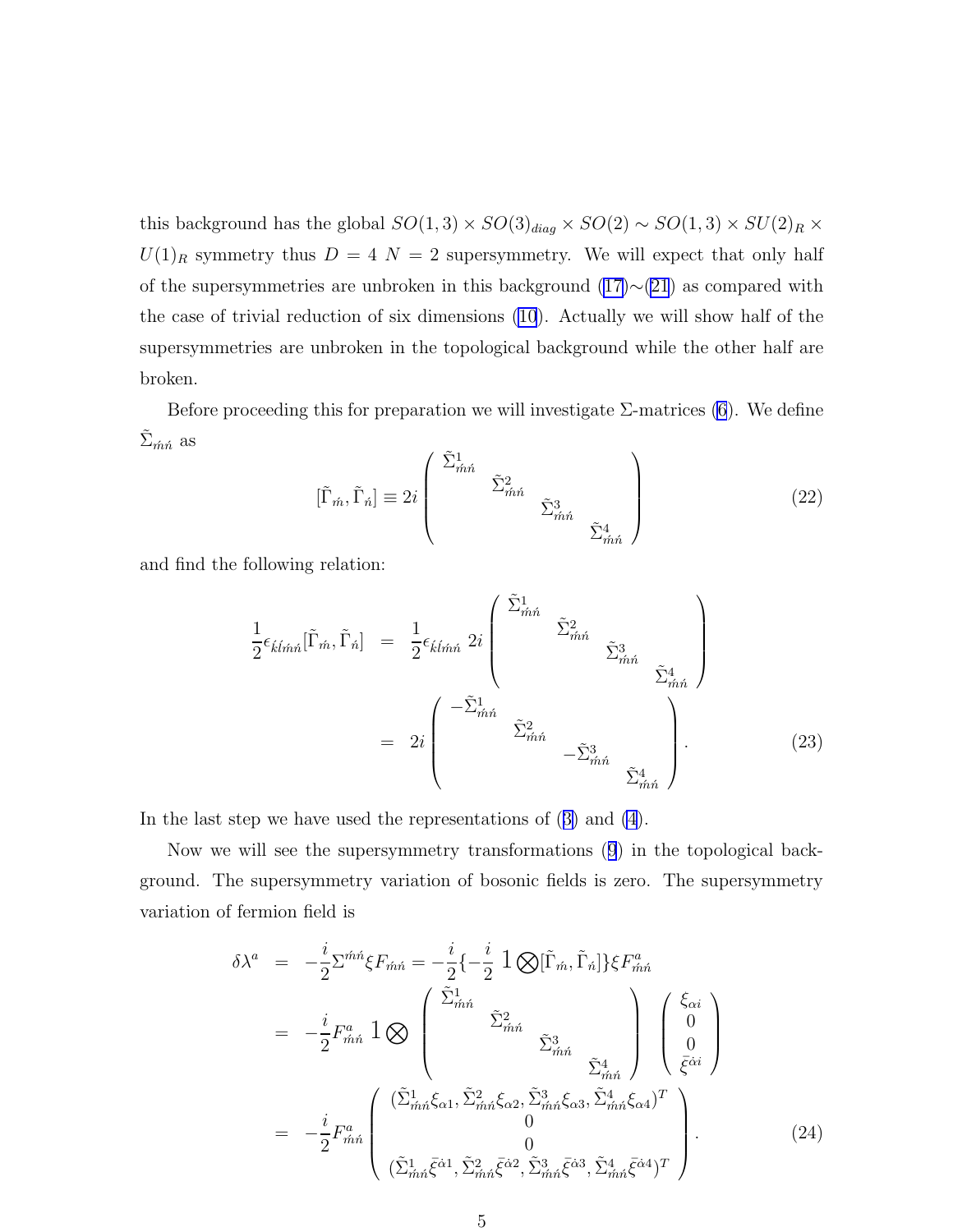this background has the global  $SO(1,3) \times SO(3)_{diag} \times SO(2) \sim SO(1,3) \times SU(2)_R \times$  $U(1)_R$  symmetry thus  $D = 4$  N = 2 supersymmetry. We will expect that only half of the supersymmetries are unbroken in this background  $(17) \sim (21)$  $(17) \sim (21)$  $(17) \sim (21)$  as compared with the case of trivial reduction of six dimensions [\(10](#page-3-0)). Actually we will show half of the supersymmetries are unbroken in the topological background while the other half are broken.

Before proceeding this for preparation we will investigate  $\Sigma$ -matrices [\(6](#page-2-0)). We define  $\Sigma_{\hat{m}\hat{n}}$  as

$$
[\tilde{\Gamma}_{\acute{m}}, \tilde{\Gamma}_{\acute{n}}] \equiv 2i \begin{pmatrix} \tilde{\Sigma}_{\acute{m}\acute{n}}^{1} & & \\ & \tilde{\Sigma}_{\acute{m}\acute{n}}^{2} & \\ & & \tilde{\Sigma}_{\acute{m}\acute{n}}^{3} \end{pmatrix} \tag{22}
$$

and find the following relation:

$$
\frac{1}{2} \epsilon_{\hat{k}l\hat{m}\hat{n}} [\tilde{\Gamma}_{\hat{m}}, \tilde{\Gamma}_{\hat{n}}] = \frac{1}{2} \epsilon_{\hat{k}l\hat{m}\hat{n}} 2i \begin{pmatrix} \tilde{\Sigma}_{\hat{m}\hat{n}}^{1} & \\ & \tilde{\Sigma}_{\hat{m}\hat{n}}^{2} & \\ & & \tilde{\Sigma}_{\hat{m}\hat{n}}^{3} \\ & & & \tilde{\Sigma}_{\hat{m}\hat{n}}^{4} \end{pmatrix}
$$
\n
$$
= 2i \begin{pmatrix} -\tilde{\Sigma}_{\hat{m}\hat{n}}^{1} & \\ & \tilde{\Sigma}_{\hat{m}\hat{n}}^{2} & \\ & & -\tilde{\Sigma}_{\hat{m}\hat{n}}^{3} & \\ & & & \tilde{\Sigma}_{\hat{m}\hat{n}}^{4} \end{pmatrix} . \tag{23}
$$

In the last step we have used the representations of([3\)](#page-2-0) and [\(4](#page-2-0)).

Now we will see the supersymmetry transformations([9](#page-3-0)) in the topological background. The supersymmetry variation of bosonic fields is zero. The supersymmetry variation of fermion field is

$$
\delta \lambda^{a} = -\frac{i}{2} \Sigma^{\hat{m}\hat{n}} \xi F_{\hat{m}\hat{n}} = -\frac{i}{2} \{-\frac{i}{2} \mathbf{1} \bigotimes [\tilde{\Gamma}_{\hat{m}}, \tilde{\Gamma}_{\hat{n}}] \xi F_{\hat{m}\hat{n}}^{a}
$$
\n
$$
= -\frac{i}{2} F_{\hat{m}\hat{n}}^{a} \mathbf{1} \bigotimes \begin{pmatrix} \tilde{\Sigma}_{\hat{m}\hat{n}}^{1} & \tilde{\Sigma}_{\hat{m}\hat{n}}^{2} & \tilde{\Sigma}_{\hat{m}\hat{n}}^{3} & \tilde{\Sigma}_{\hat{m}\hat{n}}^{4} & 0 \\ \tilde{\Sigma}_{\hat{m}\hat{n}}^{3} & \tilde{\Sigma}_{\hat{m}\hat{n}}^{4} & 0 & \tilde{\xi}^{\hat{\alpha}i} \end{pmatrix}
$$
\n
$$
= -\frac{i}{2} F_{\hat{m}\hat{n}}^{a} \begin{pmatrix} (\tilde{\Sigma}_{\hat{m}\hat{n}}^{1} \xi_{\alpha 1}, \tilde{\Sigma}_{\hat{m}\hat{n}}^{2} \xi_{\alpha 2}, \tilde{\Sigma}_{\hat{m}\hat{n}}^{3} \xi_{\alpha 3}, \tilde{\Sigma}_{\hat{m}\hat{n}}^{4} \xi_{\alpha 4})^{T} & 0 & 0 \\ 0 & 0 & 0 & 0 \\ (\tilde{\Sigma}_{\hat{m}\hat{n}}^{1} \bar{\xi}^{\hat{\alpha}1}, \tilde{\Sigma}_{\hat{m}\hat{n}}^{2} \bar{\xi}^{\hat{\alpha}2}, \tilde{\Sigma}_{\hat{m}\hat{n}}^{3} \bar{\xi}^{\hat{\alpha}3}, \tilde{\Sigma}_{\hat{m}\hat{n}}^{4} \bar{\xi}^{\hat{\alpha}4})^{T} \end{pmatrix} .
$$
\n(24)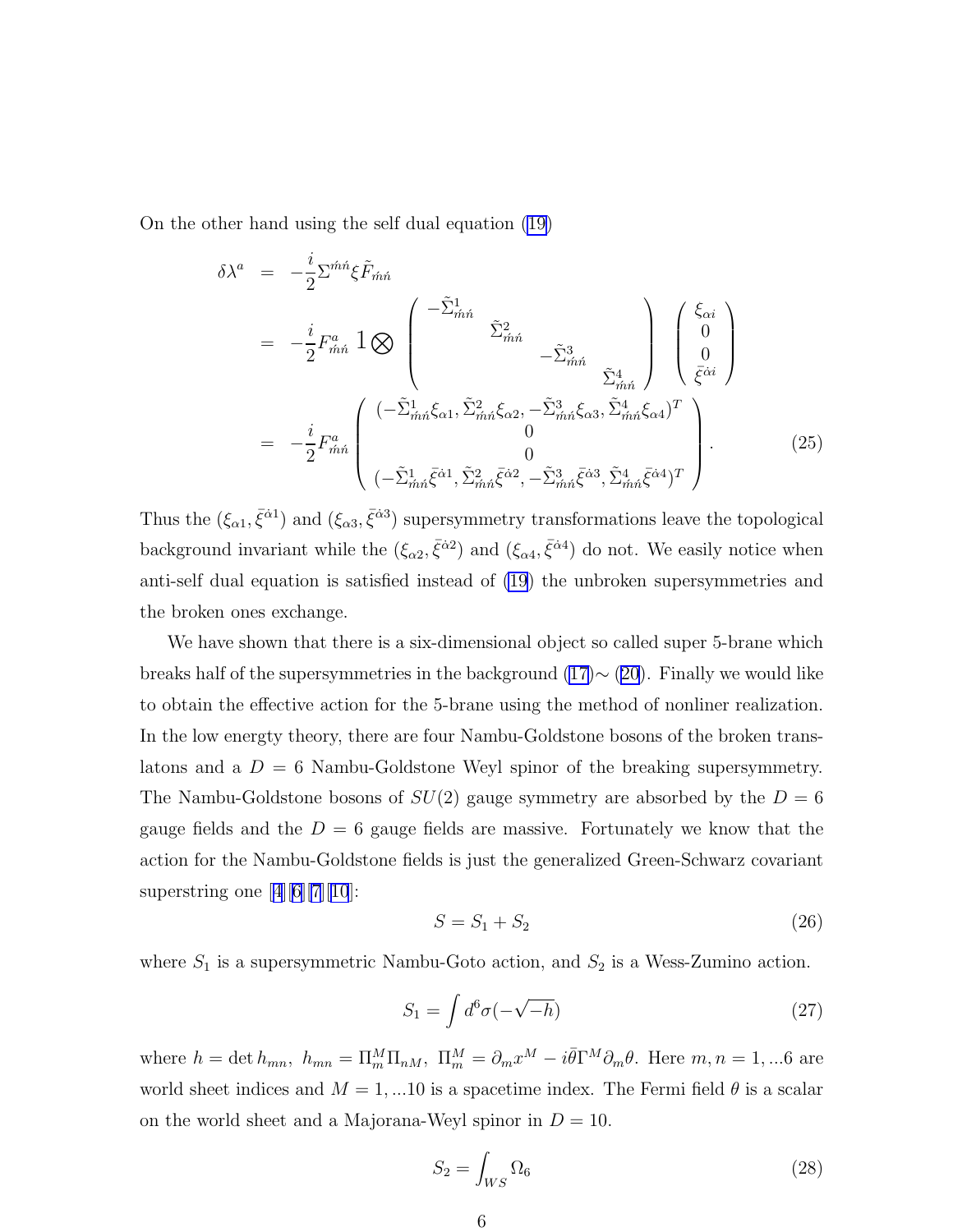<span id="page-6-0"></span>On the other hand using the self dual equation [\(19\)](#page-4-0)

$$
\delta \lambda^{a} = -\frac{i}{2} \Sigma^{\hat{m}\hat{n}} \xi \tilde{F}_{\hat{m}\hat{n}} \n= -\frac{i}{2} F_{\hat{m}\hat{n}}^{a} \mathbf{1} \bigotimes \begin{pmatrix} -\tilde{\Sigma}_{\hat{m}\hat{n}}^{1} & & \\ & \tilde{\Sigma}_{\hat{m}\hat{n}}^{2} & \\ & & -\tilde{\Sigma}_{\hat{m}\hat{n}}^{3} \\ & & \tilde{\Sigma}_{\hat{m}\hat{n}}^{4} \end{pmatrix} \begin{pmatrix} \xi_{\alpha i} \\ 0 \\ 0 \\ \bar{\xi}^{\alpha i} \end{pmatrix} \n= -\frac{i}{2} F_{\hat{m}\hat{n}}^{a} \begin{pmatrix} (-\tilde{\Sigma}_{\hat{m}\hat{n}}^{1} \xi_{\alpha 1}, \tilde{\Sigma}_{\hat{m}\hat{n}}^{2} \xi_{\alpha 2}, -\tilde{\Sigma}_{\hat{m}\hat{n}}^{3} \xi_{\alpha 3}, \tilde{\Sigma}_{\hat{m}\hat{n}}^{4} \xi_{\alpha 4})^{T} \\ 0 \\ 0 \\ (-\tilde{\Sigma}_{\hat{m}\hat{n}}^{1} \bar{\xi}^{\hat{\alpha} 1}, \tilde{\Sigma}_{\hat{m}\hat{n}}^{2} \bar{\xi}^{\hat{\alpha} 2}, -\tilde{\Sigma}_{\hat{m}\hat{n}}^{3} \bar{\xi}^{\hat{\alpha} 3}, \tilde{\Sigma}_{\hat{m}\hat{n}}^{4} \bar{\xi}^{\hat{\alpha} 4})^{T} \end{pmatrix} .
$$
\n(25)

Thus the  $(\xi_{\alpha 1}, \bar{\xi}^{\dot{\alpha} 1})$  and  $(\xi_{\alpha 3}, \bar{\xi}^{\dot{\alpha} 3})$  supersymmetry transformations leave the topological background invariant while the  $(\xi_{\alpha 2}, \bar{\xi}^{\dot{\alpha} 2})$  and  $(\xi_{\alpha 4}, \bar{\xi}^{\dot{\alpha} 4})$  do not. We easily notice when anti-self dual equation is satisfied instead of [\(19](#page-4-0)) the unbroken supersymmetries and the broken ones exchange.

We have shown that there is a six-dimensional object so called super 5-brane which breaks half of the supersymmetries in the background  $(17) \sim (20)$  $(17) \sim (20)$ . Finally we would like to obtain the effective action for the 5-brane using the method of nonliner realization. In the low energty theory, there are four Nambu-Goldstone bosons of the broken translatons and a  $D = 6$  Nambu-Goldstone Weyl spinor of the breaking supersymmetry. The Nambu-Goldstone bosons of  $SU(2)$  gauge symmetry are absorbed by the  $D=6$ gauge fields and the  $D = 6$  gauge fields are massive. Fortunately we know that the action for the Nambu-Goldstone fields is just the generalized Green-Schwarz covariant superstringone  $[4][6][7][10]$  $[4][6][7][10]$  $[4][6][7][10]$  $[4][6][7][10]$  $[4][6][7][10]$  $[4][6][7][10]$  $[4][6][7][10]$ :

$$
S = S_1 + S_2 \tag{26}
$$

where  $S_1$  is a supersymmetric Nambu-Goto action, and  $S_2$  is a Wess-Zumino action.

$$
S_1 = \int d^6 \sigma \left( -\sqrt{-h} \right) \tag{27}
$$

where  $h = \det h_{mn}$ ,  $h_{mn} = \prod_m^M \Pi_{nM}$ ,  $\Pi_m^M = \partial_m x^M - i \bar{\theta} \Gamma^M \partial_m \theta$ . Here  $m, n = 1, ...6$  are world sheet indices and  $M = 1, ... 10$  is a spacetime index. The Fermi field  $\theta$  is a scalar on the world sheet and a Majorana-Weyl spinor in  $D = 10$ .

$$
S_2 = \int_{WS} \Omega_6 \tag{28}
$$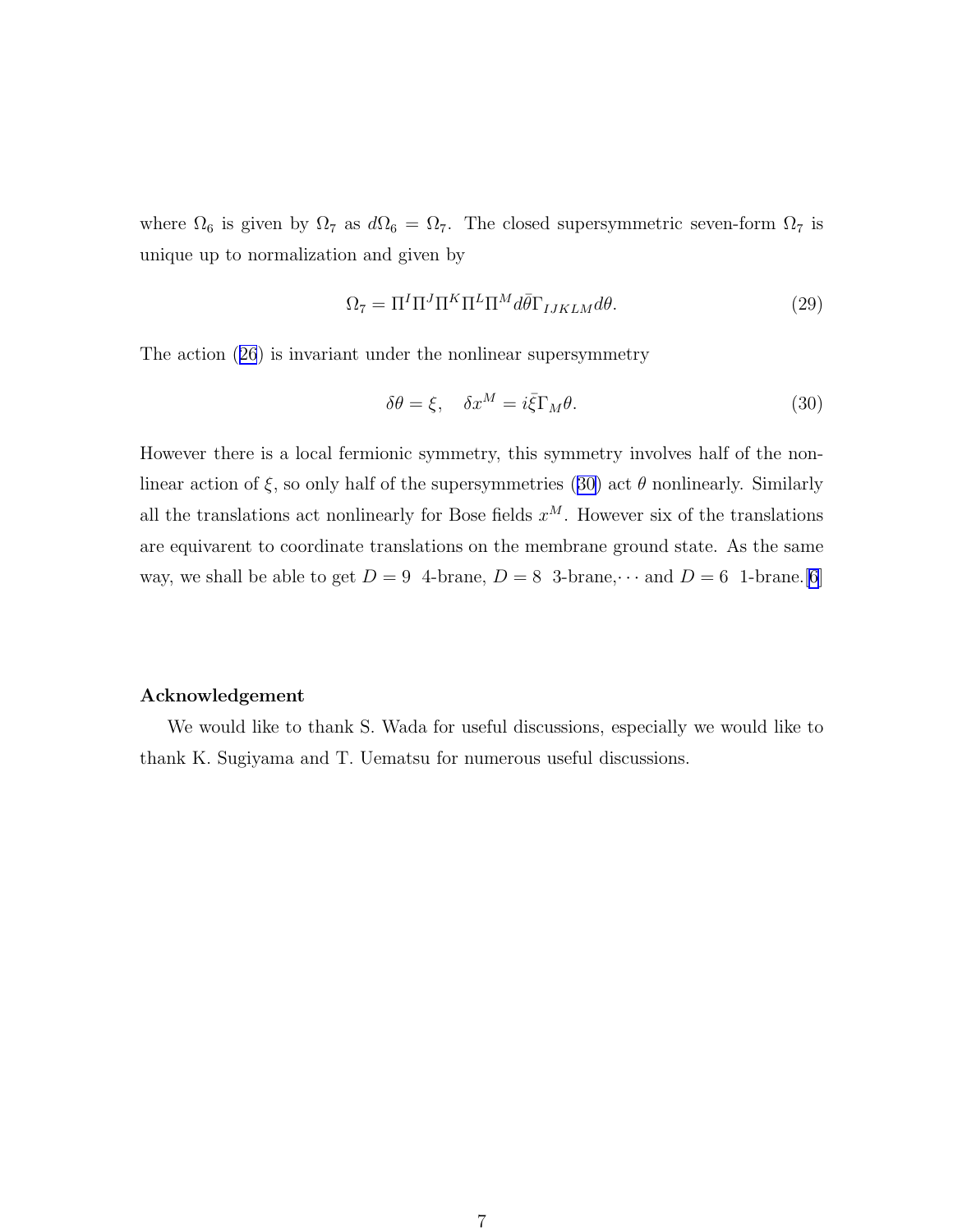where  $\Omega_6$  is given by  $\Omega_7$  as  $d\Omega_6 = \Omega_7$ . The closed supersymmetric seven-form  $\Omega_7$  is unique up to normalization and given by

$$
\Omega_7 = \Pi^I \Pi^J \Pi^K \Pi^L \Pi^M d\bar{\theta} \Gamma_{IJKLM} d\theta. \tag{29}
$$

The action([26](#page-6-0)) is invariant under the nonlinear supersymmetry

$$
\delta\theta = \xi, \quad \delta x^M = i\bar{\xi}\Gamma_M\theta. \tag{30}
$$

However there is a local fermionic symmetry, this symmetry involves half of the nonlinear action of  $\xi$ , so only half of the supersymmetries (30) act  $\theta$  nonlinearly. Similarly all the translations act nonlinearly for Bose fields  $x^M$ . However six of the translations are equivarent to coordinate translations on the membrane ground state. As the same way, we shall be able to get  $D = 9$  4-brane,  $D = 8$  3-brane,  $\cdots$  and  $D = 6$  1-brane. [\[6](#page-8-0)]

#### Acknowledgement

We would like to thank S. Wada for useful discussions, especially we would like to thank K. Sugiyama and T. Uematsu for numerous useful discussions.